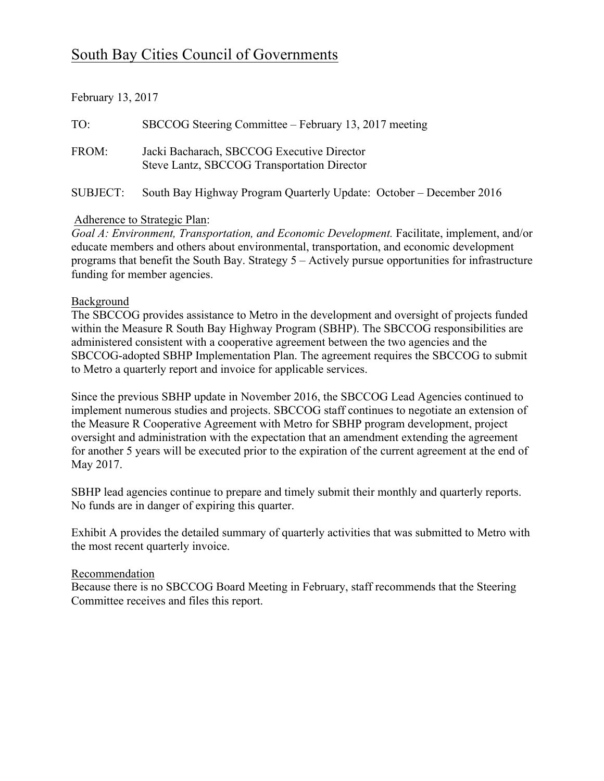# South Bay Cities Council of Governments

| February 13, 2017 |  |  |
|-------------------|--|--|
|-------------------|--|--|

| TO:      | SBCCOG Steering Committee – February 13, 2017 meeting                                     |
|----------|-------------------------------------------------------------------------------------------|
| FROM:    | Jacki Bacharach, SBCCOG Executive Director<br>Steve Lantz, SBCCOG Transportation Director |
| SUBJECT: | South Bay Highway Program Quarterly Update: October – December 2016                       |

### Adherence to Strategic Plan:

*Goal A: Environment, Transportation, and Economic Development.* Facilitate, implement, and/or educate members and others about environmental, transportation, and economic development programs that benefit the South Bay. Strategy 5 – Actively pursue opportunities for infrastructure funding for member agencies.

#### Background

The SBCCOG provides assistance to Metro in the development and oversight of projects funded within the Measure R South Bay Highway Program (SBHP). The SBCCOG responsibilities are administered consistent with a cooperative agreement between the two agencies and the SBCCOG-adopted SBHP Implementation Plan. The agreement requires the SBCCOG to submit to Metro a quarterly report and invoice for applicable services.

Since the previous SBHP update in November 2016, the SBCCOG Lead Agencies continued to implement numerous studies and projects. SBCCOG staff continues to negotiate an extension of the Measure R Cooperative Agreement with Metro for SBHP program development, project oversight and administration with the expectation that an amendment extending the agreement for another 5 years will be executed prior to the expiration of the current agreement at the end of May 2017.

SBHP lead agencies continue to prepare and timely submit their monthly and quarterly reports. No funds are in danger of expiring this quarter.

Exhibit A provides the detailed summary of quarterly activities that was submitted to Metro with the most recent quarterly invoice.

#### Recommendation

Because there is no SBCCOG Board Meeting in February, staff recommends that the Steering Committee receives and files this report.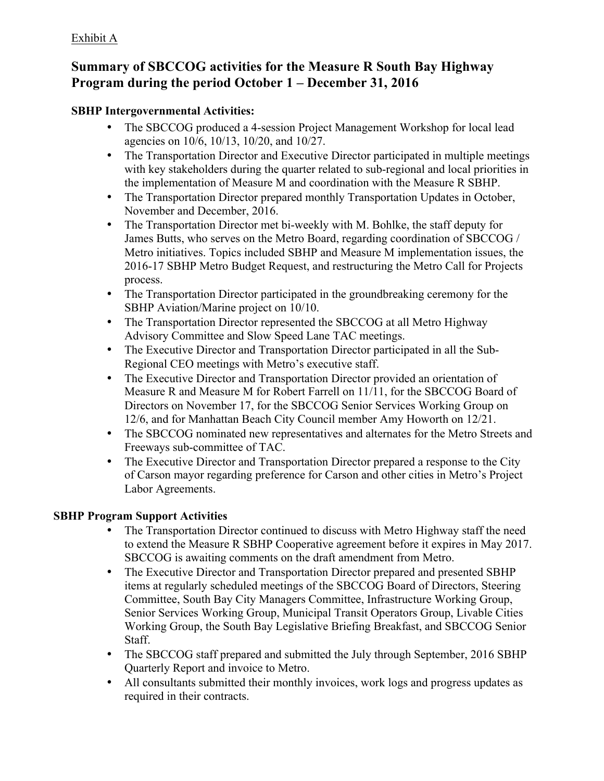# **Summary of SBCCOG activities for the Measure R South Bay Highway Program during the period October 1 – December 31, 2016**

## **SBHP Intergovernmental Activities:**

- The SBCCOG produced a 4-session Project Management Workshop for local lead agencies on 10/6, 10/13, 10/20, and 10/27.
- The Transportation Director and Executive Director participated in multiple meetings with key stakeholders during the quarter related to sub-regional and local priorities in the implementation of Measure M and coordination with the Measure R SBHP.
- The Transportation Director prepared monthly Transportation Updates in October, November and December, 2016.
- The Transportation Director met bi-weekly with M. Bohlke, the staff deputy for James Butts, who serves on the Metro Board, regarding coordination of SBCCOG / Metro initiatives. Topics included SBHP and Measure M implementation issues, the 2016-17 SBHP Metro Budget Request, and restructuring the Metro Call for Projects process.
- The Transportation Director participated in the groundbreaking ceremony for the SBHP Aviation/Marine project on 10/10.
- The Transportation Director represented the SBCCOG at all Metro Highway Advisory Committee and Slow Speed Lane TAC meetings.
- The Executive Director and Transportation Director participated in all the Sub-Regional CEO meetings with Metro's executive staff.
- The Executive Director and Transportation Director provided an orientation of Measure R and Measure M for Robert Farrell on 11/11, for the SBCCOG Board of Directors on November 17, for the SBCCOG Senior Services Working Group on 12/6, and for Manhattan Beach City Council member Amy Howorth on 12/21.
- The SBCCOG nominated new representatives and alternates for the Metro Streets and Freeways sub-committee of TAC.
- The Executive Director and Transportation Director prepared a response to the City of Carson mayor regarding preference for Carson and other cities in Metro's Project Labor Agreements.

# **SBHP Program Support Activities**

- The Transportation Director continued to discuss with Metro Highway staff the need to extend the Measure R SBHP Cooperative agreement before it expires in May 2017. SBCCOG is awaiting comments on the draft amendment from Metro.
- The Executive Director and Transportation Director prepared and presented SBHP items at regularly scheduled meetings of the SBCCOG Board of Directors, Steering Committee, South Bay City Managers Committee, Infrastructure Working Group, Senior Services Working Group, Municipal Transit Operators Group, Livable Cities Working Group, the South Bay Legislative Briefing Breakfast, and SBCCOG Senior Staff.
- The SBCCOG staff prepared and submitted the July through September, 2016 SBHP Quarterly Report and invoice to Metro.
- All consultants submitted their monthly invoices, work logs and progress updates as required in their contracts.